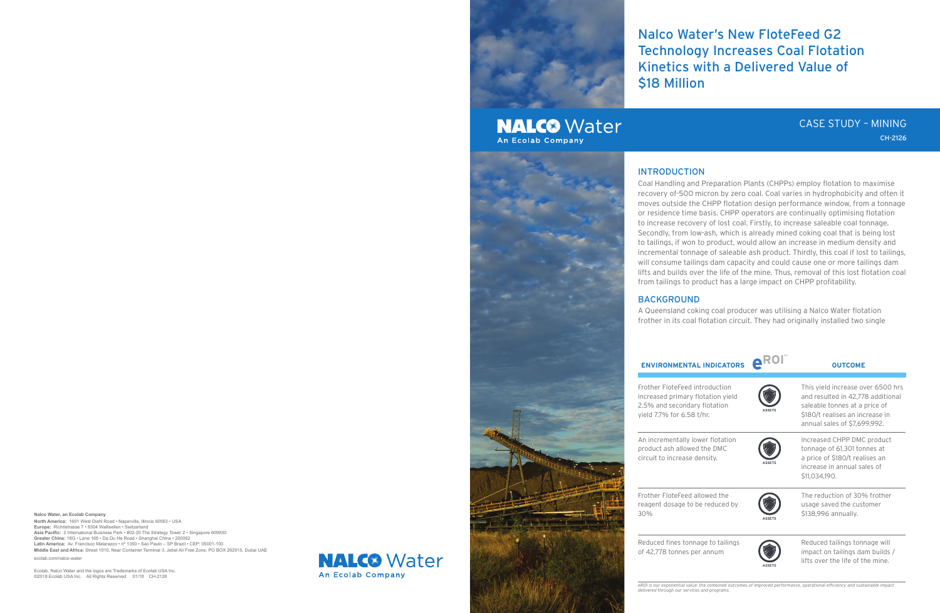**Nalco Water, an Ecolab Company**

**North America:** 1601 West Diehl Road • Naperville, Illinois 60563 • USA **Europe:** Richtistrasse 7 • 8304 Wallisellen • Switzerland **Asia Pacific:** 2 International Business Park • #02-20 The Strategy Tower 2 • Singapore 609930 **Greater China:** 18G • Lane 168 • Da Du He Road • Shanghai China • 200062 **Latin America:** Av. Francisco Matarazzo • nº 1350 • Sao Paulo – SP Brazil • CEP: 05001-100 **Middle East and Africa:** Street 1010, Near Container Terminal 3, Jebel Ali Free Zone, PO BOX 262015, Dubai UAE

ecolab.com/nalco-water

Ecolab, Nalco Water and the logos are Trademarks of Ecolab USA Inc. ©2018 Ecolab USA Inc. All Rights Reserved 01/18 CH-2126

**NALC®** Water **An Ecolab Company** 





# Nalco Water's New FloteFeed G2 Technology Increases Coal Flotation Kinetics with a Delivered Value of

\$18 Million

# **NALC<sup>®</sup>** Water An Ecolab Company

### INTRODUCTION

Frother FloteF reagent dosag 30%

Reduced fines of 42,778 tonn

Coal Handling and Preparation Plants (CHPPs) employ flotation to maximise recovery of-500 micron by zero coal. Coal varies in hydrophobicity and often it moves outside the CHPP flotation design performance window, from a tonnage or residence time basis. CHPP operators are continually optimising flotation to increase recovery of lost coal. Firstly, to increase saleable coal tonnage. Secondly, from low-ash, which is already mined coking coal that is being lost to tailings, if won to product, would allow an increase in medium density and incremental tonnage of saleable ash product. Thirdly, this coal if lost to tailings, will consume tailings dam capacity and could cause one or more tailings dam lifts and builds over the life of the mine. Thus, removal of this lost flotation coal from tailings to product has a large impact on CHPP profitability.

## BACKGROUND

A Queensland coking coal producer was utilising a Nalco Water flotation frother in its coal flotation circuit. They had originally installed two single

Frother FloteF increased prin  $2.5%$  and second yield 7.7% for

An incrementa product ash all circuit to incre

| <b>ENVIRONMENTAL INDICATORS</b>                                                                                              | e ROI"        | <b>OUTCOME</b>                                                                                                                                                             |
|------------------------------------------------------------------------------------------------------------------------------|---------------|----------------------------------------------------------------------------------------------------------------------------------------------------------------------------|
| rother FloteFeed introduction<br>ncreased primary flotation yield<br>.5% and secondary flotation<br>ield 7.7% for 6.58 t/hr. | <b>ASSETS</b> | This yield increase over 6500 hrs<br>and resulted in 42,778 additional<br>saleable tonnes at a price of<br>\$180/t realises an increase in<br>annual sales of \$7,699,992. |
| n incrementally lower flotation<br>roduct ash allowed the DMC<br>ircuit to increase density.                                 | <b>ASSETS</b> | Increased CHPP DMC product<br>tonnage of 61,301 tonnes at<br>a price of \$180/t realises an<br>increase in annual sales of<br>\$11,034,190.                                |
| rother FloteFeed allowed the<br>eagent dosage to be reduced by<br>$0\%$                                                      | <b>ASSETS</b> | The reduction of 30% frother<br>usage saved the customer<br>\$138,996 annually.                                                                                            |
| educed fines tonnage to tailings<br>f 42,778 tonnes per annum                                                                | <b>ASSETS</b> | Reduced tailings tonnage will<br>impact on tailings dam builds /<br>lifts over the life of the mine.                                                                       |

*eROI is our exponential value: the combined outcomes of improved performance, operational efficiency and sustainable impact delivered through our services and programs.*

# CASE STUDY – MINING CH-2126